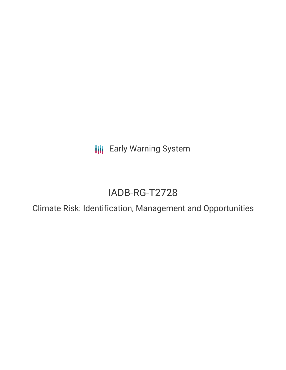**III** Early Warning System

# IADB-RG-T2728

Climate Risk: Identification, Management and Opportunities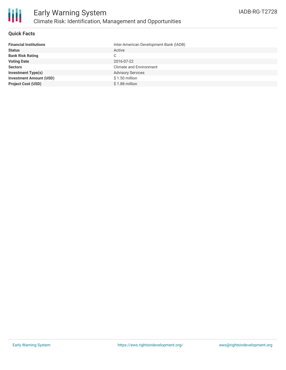

### **Quick Facts**

| <b>Financial Institutions</b>  | Inter-American Development Bank (IADB) |
|--------------------------------|----------------------------------------|
| <b>Status</b>                  | Active                                 |
| <b>Bank Risk Rating</b>        | C.                                     |
| <b>Voting Date</b>             | 2016-07-22                             |
| <b>Sectors</b>                 | <b>Climate and Environment</b>         |
| <b>Investment Type(s)</b>      | <b>Advisory Services</b>               |
| <b>Investment Amount (USD)</b> | $$1.50$ million                        |
| <b>Project Cost (USD)</b>      | $$1.88$ million                        |
|                                |                                        |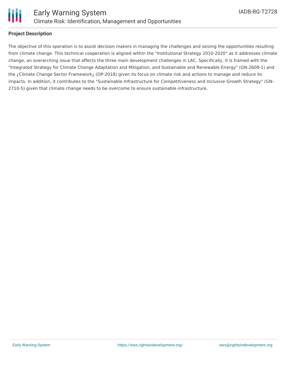

### **Project Description**

The objective of this operation is to assist decision makers in managing the challenges and seizing the opportunities resulting from climate change. This technical cooperation is aligned within the "Institutional Strategy 2010-2020" as it addresses climate change, an overarching issue that affects the three main development challenges in LAC. Specifically, it is framed with the "Integrated Strategy for Climate Change Adaptation and Mitigation, and Sustainable and Renewable Energy" (GN-2609-1) and the ¿Climate Change Sector Framework¿ (OP-2018) given its focus on climate risk and actions to manage and reduce its impacts. In addition, it contributes to the "Sustainable Infrastructure for Competitiveness and Inclusive Growth Strategy" (GN-2710-5) given that climate change needs to be overcome to ensure sustainable infrastructure.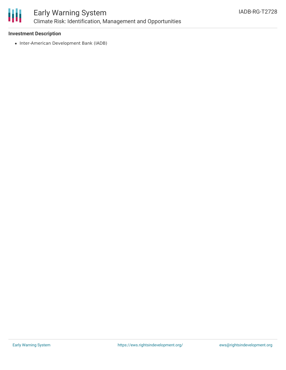

## Early Warning System Climate Risk: Identification, Management and Opportunities

### **Investment Description**

• Inter-American Development Bank (IADB)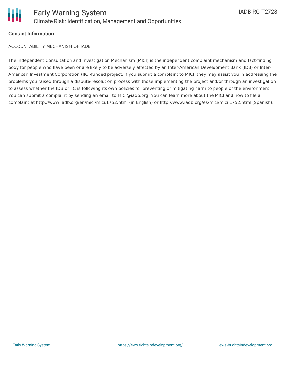

### **Contact Information**

ACCOUNTABILITY MECHANISM OF IADB

The Independent Consultation and Investigation Mechanism (MICI) is the independent complaint mechanism and fact-finding body for people who have been or are likely to be adversely affected by an Inter-American Development Bank (IDB) or Inter-American Investment Corporation (IIC)-funded project. If you submit a complaint to MICI, they may assist you in addressing the problems you raised through a dispute-resolution process with those implementing the project and/or through an investigation to assess whether the IDB or IIC is following its own policies for preventing or mitigating harm to people or the environment. You can submit a complaint by sending an email to MICI@iadb.org. You can learn more about the MICI and how to file a complaint at http://www.iadb.org/en/mici/mici,1752.html (in English) or http://www.iadb.org/es/mici/mici,1752.html (Spanish).